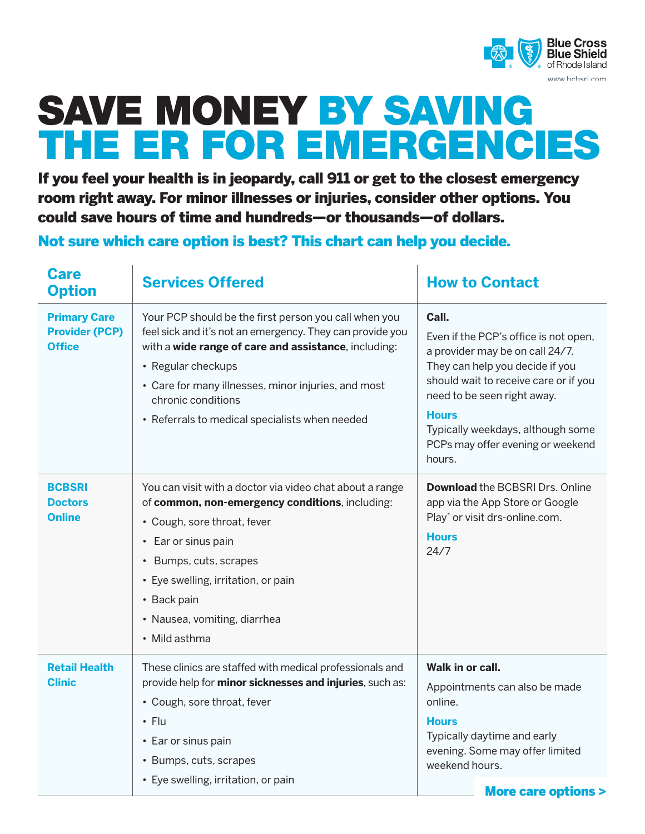

## SAVE MONEY BY SAVING THE ER FOR EMERGENCIES

If you feel your health is in jeopardy, call 911 or get to the closest emergency room right away. For minor illnesses or injuries, consider other options. You could save hours of time and hundreds—or thousands—of dollars.

Not sure which care option is best? This chart can help you decide.

| <b>Care</b><br><b>Option</b>                                  | <b>Services Offered</b>                                                                                                                                                                                                                                                                                                         | <b>How to Contact</b>                                                                                                                                                                                                                                                                            |
|---------------------------------------------------------------|---------------------------------------------------------------------------------------------------------------------------------------------------------------------------------------------------------------------------------------------------------------------------------------------------------------------------------|--------------------------------------------------------------------------------------------------------------------------------------------------------------------------------------------------------------------------------------------------------------------------------------------------|
| <b>Primary Care</b><br><b>Provider (PCP)</b><br><b>Office</b> | Your PCP should be the first person you call when you<br>feel sick and it's not an emergency. They can provide you<br>with a wide range of care and assistance, including:<br>• Regular checkups<br>• Care for many illnesses, minor injuries, and most<br>chronic conditions<br>• Referrals to medical specialists when needed | Call.<br>Even if the PCP's office is not open,<br>a provider may be on call 24/7.<br>They can help you decide if you<br>should wait to receive care or if you<br>need to be seen right away.<br><b>Hours</b><br>Typically weekdays, although some<br>PCPs may offer evening or weekend<br>hours. |
| <b>BCBSRI</b><br><b>Doctors</b><br><b>Online</b>              | You can visit with a doctor via video chat about a range<br>of common, non-emergency conditions, including:<br>• Cough, sore throat, fever<br>• Ear or sinus pain<br>• Bumps, cuts, scrapes<br>• Eye swelling, irritation, or pain<br>• Back pain<br>· Nausea, vomiting, diarrhea<br>• Mild asthma                              | <b>Download the BCBSRI Drs. Online</b><br>app via the App Store or Google<br>Play* or visit drs-online.com.<br><b>Hours</b><br>24/7                                                                                                                                                              |
| <b>Retail Health</b><br><b>Clinic</b>                         | These clinics are staffed with medical professionals and<br>provide help for minor sicknesses and injuries, such as:<br>• Cough, sore throat, fever<br>$\cdot$ Flu<br>• Ear or sinus pain<br>• Bumps, cuts, scrapes<br>• Eye swelling, irritation, or pain                                                                      | Walk in or call.<br>Appointments can also be made<br>online.<br><b>Hours</b><br>Typically daytime and early<br>evening. Some may offer limited<br>weekend hours.<br><b>More care options &gt;</b>                                                                                                |